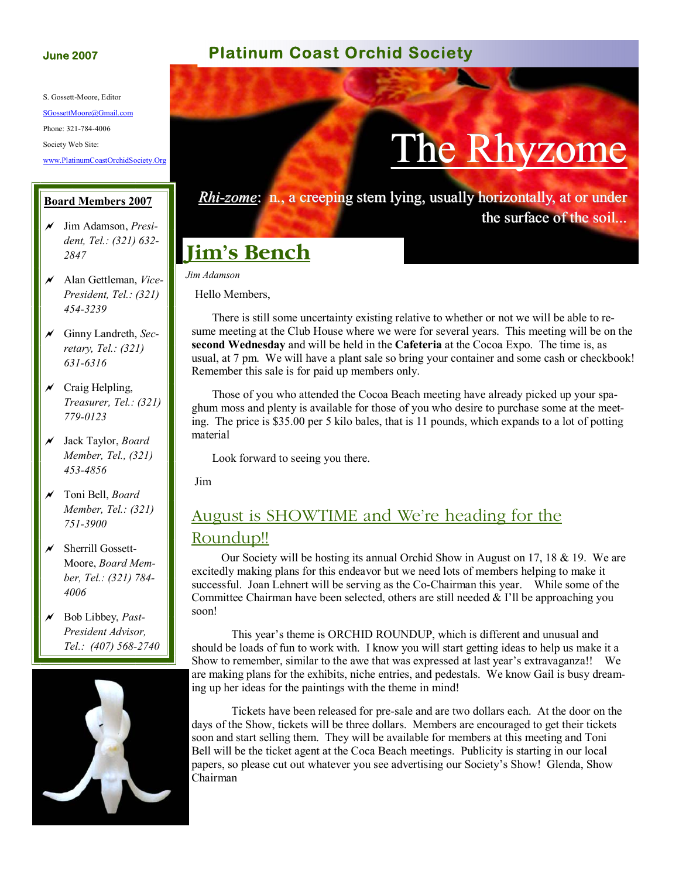S. Gossett-Moore, Editor SGossettMoore@Gmail.com Phone: 321-784-4006 Society Web Site: www.PlatinumCoastOrchidSociety.Org

#### **Board Members 2007**

- a Jim Adamson, *President, Tel.: (321) 632- 2847*
- a Alan Gettleman, *Vice-President, Tel.: (321) 454-3239*
- a Ginny Landreth, *Secretary, Tel.: (321) 631-6316*
- $\times$  Craig Helpling, *Treasurer, Tel.: (321) 779-0123*
- a Jack Taylor, *Board Member, Tel., (321) 453-4856*
- a Toni Bell, *Board Member, Tel.: (321) 751-3900*
- $\times$  Sherrill Gossett-Moore, *Board Member, Tel.: (321) 784- 4006*
- a Bob Libbey, *Past-President Advisor, Tel.: (407) 568-2740*



#### **June 2007 Platinum Coast Orchid Society**

# The Rhyzon

*Rhi-zome*: n., a creeping stem lying, usually horizontally, at or under the surface of the soil...

## **Jim's Bench**

*Jim Adamson* 

Hello Members,

 There is still some uncertainty existing relative to whether or not we will be able to resume meeting at the Club House where we were for several years. This meeting will be on the **second Wednesday** and will be held in the **Cafeteria** at the Cocoa Expo. The time is, as usual, at 7 pm. We will have a plant sale so bring your container and some cash or checkbook! Remember this sale is for paid up members only.

 Those of you who attended the Cocoa Beach meeting have already picked up your spaghum moss and plenty is available for those of you who desire to purchase some at the meeting. The price is \$35.00 per 5 kilo bales, that is 11 pounds, which expands to a lot of potting material

Look forward to seeing you there.

Jim

### August is SHOWTIME and We're heading for the Roundup!!

Our Society will be hosting its annual Orchid Show in August on 17, 18  $\&$  19. We are excitedly making plans for this endeavor but we need lots of members helping to make it successful. Joan Lehnert will be serving as the Co-Chairman this year. While some of the Committee Chairman have been selected, others are still needed & I'll be approaching you soon!

 This year's theme is ORCHID ROUNDUP, which is different and unusual and should be loads of fun to work with. I know you will start getting ideas to help us make it a Show to remember, similar to the awe that was expressed at last year's extravaganza!! We are making plans for the exhibits, niche entries, and pedestals. We know Gail is busy dreaming up her ideas for the paintings with the theme in mind!

 Tickets have been released for pre-sale and are two dollars each. At the door on the days of the Show, tickets will be three dollars. Members are encouraged to get their tickets soon and start selling them. They will be available for members at this meeting and Toni Bell will be the ticket agent at the Coca Beach meetings. Publicity is starting in our local papers, so please cut out whatever you see advertising our Society's Show! Glenda, Show Chairman